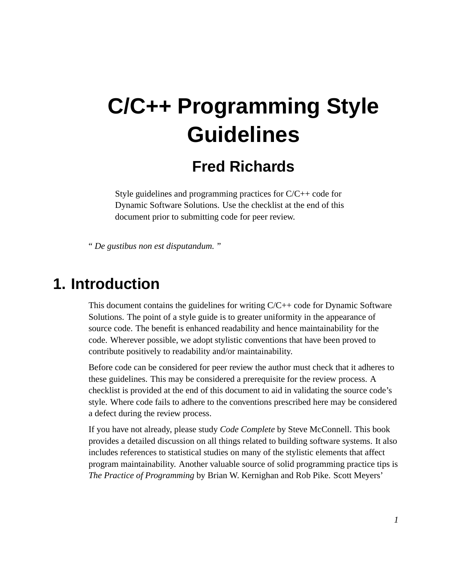# **C/C++ Programming Style Guidelines**

# **Fred Richards**

Style guidelines and programming practices for C/C++ code for Dynamic Software Solutions. Use the checklist at the end of this document prior to submitting code for peer review.

" *De gustibus non est disputandum.* "

# **1. Introduction**

This document contains the guidelines for writing  $C/C++$  code for Dynamic Software Solutions. The point of a style guide is to greater uniformity in the appearance of source code. The benefit is enhanced readability and hence maintainability for the code. Wherever possible, we adopt stylistic conventions that have been proved to contribute positively to readability and/or maintainability.

Before code can be considered for peer review the author must check that it adheres to these guidelines. This may be considered a prerequisite for the review process. A checklist is provided at the end of this document to aid in validating the source code's style. Where code fails to adhere to the conventions prescribed here may be considered a defect during the review process.

If you have not already, please study *Code Complete* by Steve McConnell. This book provides a detailed discussion on all things related to building software systems. It also includes references to statistical studies on many of the stylistic elements that affect program maintainability. Another valuable source of solid programming practice tips is *The Practice of Programming* by Brian W. Kernighan and Rob Pike. Scott Meyers'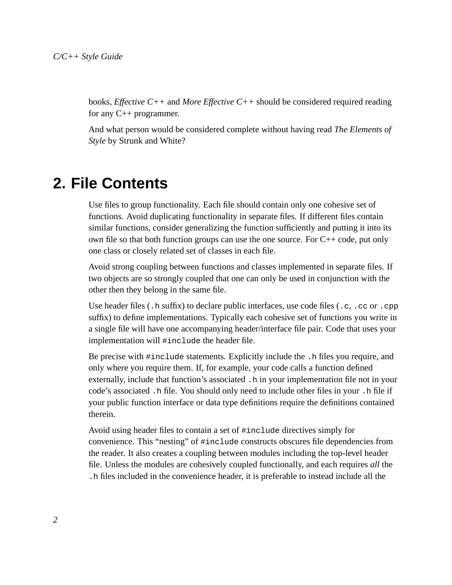books, *Effective C++* and *More Effective C++* should be considered required reading for any C++ programmer.

And what person would be considered complete without having read *The Elements of Style* by Strunk and White?

## **2. File Contents**

Use files to group functionality. Each file should contain only one cohesive set of functions. Avoid duplicating functionality in separate files. If different files contain similar functions, consider generalizing the function sufficiently and putting it into its own file so that both function groups can use the one source. For  $C_{++}$  code, put only one class or closely related set of classes in each file.

Avoid strong coupling between functions and classes implemented in separate files. If two objects are so strongly coupled that one can only be used in conjunction with the other then they belong in the same file.

Use header files (.h suffix) to declare public interfaces, use code files (.c, .cc or .cpp suffix) to define implementations. Typically each cohesive set of functions you write in a single file will have one accompanying header/interface file pair. Code that uses your implementation will #include the header file.

Be precise with #include statements. Explicitly include the .h files you require, and only where you require them. If, for example, your code calls a function defined externally, include that function's associated .h in your implementation file not in your code's associated .h file. You should only need to include other files in your .h file if your public function interface or data type definitions require the definitions contained therein.

Avoid using header files to contain a set of #include directives simply for convenience. This "nesting" of #include constructs obscures file dependencies from the reader. It also creates a coupling between modules including the top-level header file. Unless the modules are cohesively coupled functionally, and each requires *all* the .h files included in the convenience header, it is preferable to instead include all the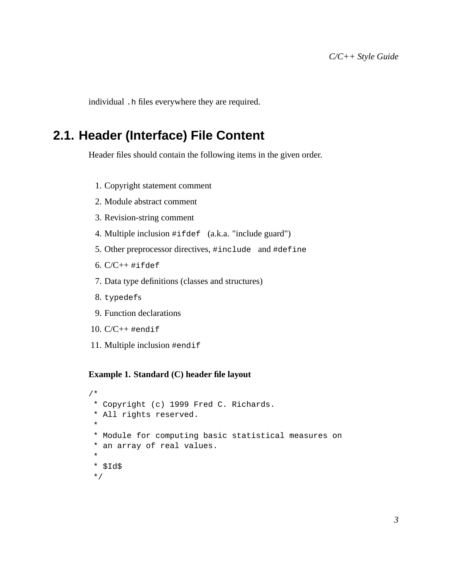individual .h files everywhere they are required.

### **2.1. Header (Interface) File Content**

Header files should contain the following items in the given order.

- 1. Copyright statement comment
- 2. Module abstract comment
- 3. Revision-string comment
- 4. Multiple inclusion #ifdef (a.k.a. "include guard")
- 5. Other preprocessor directives, #include and #define
- 6. C/C++ #ifdef
- 7. Data type definitions (classes and structures)
- 8. typedefs
- 9. Function declarations
- 10. C/C++ #endif
- 11. Multiple inclusion #endif

#### **Example 1. Standard (C) header file layout**

```
/*
* Copyright (c) 1999 Fred C. Richards.
* All rights reserved.
 *
* Module for computing basic statistical measures on
* an array of real values.
 *
* $Id$
*/
```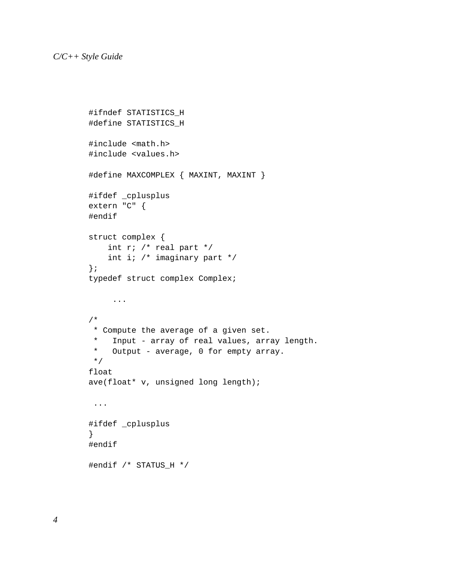```
#ifndef STATISTICS_H
#define STATISTICS_H
#include <math.h>
#include <values.h>
#define MAXCOMPLEX { MAXINT, MAXINT }
#ifdef _cplusplus
extern "C" {
#endif
struct complex {
    int r; /* real part */
    int i; /* imaginary part */
};
typedef struct complex Complex;
     ...
/*
* Compute the average of a given set.
* Input - array of real values, array length.
 * Output - average, 0 for empty array.
 */
float
ave(float* v, unsigned long length);
...
#ifdef _cplusplus
}
#endif
#endif /* STATUS_H */
```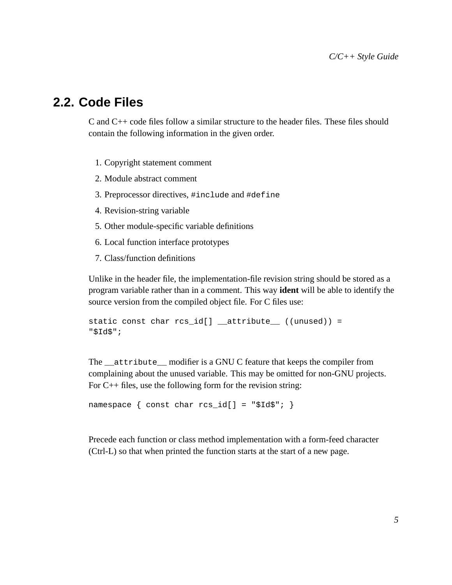### **2.2. Code Files**

C and C++ code files follow a similar structure to the header files. These files should contain the following information in the given order.

- 1. Copyright statement comment
- 2. Module abstract comment
- 3. Preprocessor directives, #include and #define
- 4. Revision-string variable
- 5. Other module-specific variable definitions
- 6. Local function interface prototypes
- 7. Class/function definitions

Unlike in the header file, the implementation-file revision string should be stored as a program variable rather than in a comment. This way **ident** will be able to identify the source version from the compiled object file. For C files use:

```
static const char rcs_id[] __attribute__ ((unused)) =
"$Id$";
```
The \_\_attribute\_\_ modifier is a GNU C feature that keeps the compiler from complaining about the unused variable. This may be omitted for non-GNU projects. For C++ files, use the following form for the revision string:

```
namespace { const char rcs_id[] = "$Id$"; }
```
Precede each function or class method implementation with a form-feed character (Ctrl-L) so that when printed the function starts at the start of a new page.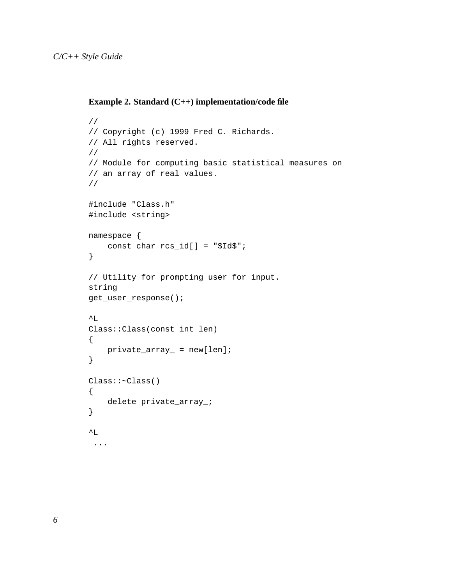```
Example 2. Standard (C++) implementation/code file
```

```
//
// Copyright (c) 1999 Fred C. Richards.
// All rights reserved.
//
// Module for computing basic statistical measures on
// an array of real values.
//
#include "Class.h"
#include <string>
namespace {
    const char rcs_id[] = "$Id$";
}
// Utility for prompting user for input.
string
get_user_response();
^{\wedge}L
Class::Class(const int len)
{
    private_array_ = new[len];
}
Class::~Class()
{
    delete private_array_;
}
^{\wedge}L
 ...
```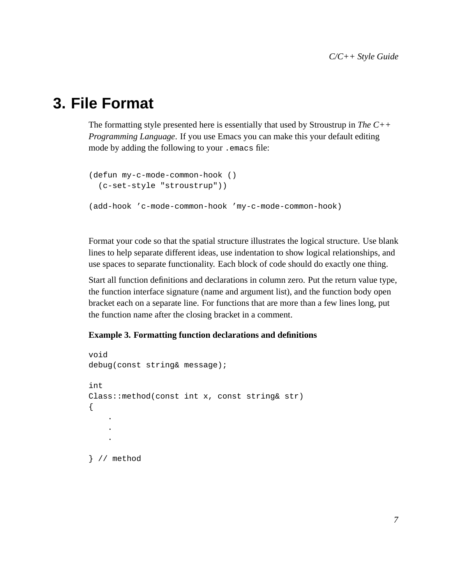# **3. File Format**

The formatting style presented here is essentially that used by Stroustrup in *The C++ Programming Language*. If you use Emacs you can make this your default editing mode by adding the following to your .emacs file:

```
(defun my-c-mode-common-hook ()
  (c-set-style "stroustrup"))
(add-hook 'c-mode-common-hook 'my-c-mode-common-hook)
```
Format your code so that the spatial structure illustrates the logical structure. Use blank lines to help separate different ideas, use indentation to show logical relationships, and use spaces to separate functionality. Each block of code should do exactly one thing.

Start all function definitions and declarations in column zero. Put the return value type, the function interface signature (name and argument list), and the function body open bracket each on a separate line. For functions that are more than a few lines long, put the function name after the closing bracket in a comment.

### **Example 3. Formatting function declarations and definitions**

```
void
debug(const string& message);
int
Class::method(const int x, const string& str)
{
    .
    .
    .
} // method
```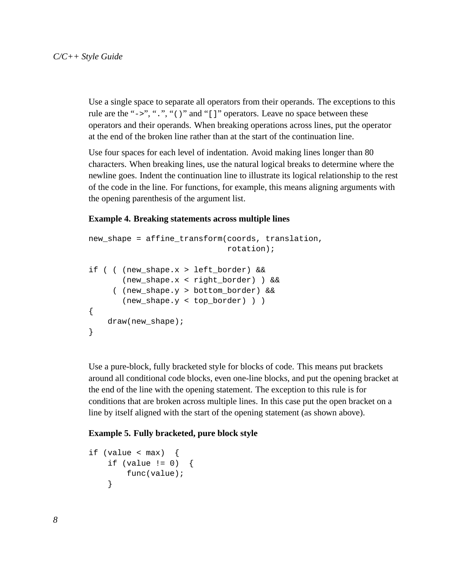Use a single space to separate all operators from their operands. The exceptions to this rule are the "->", ".", "()" and "[]" operators. Leave no space between these operators and their operands. When breaking operations across lines, put the operator at the end of the broken line rather than at the start of the continuation line.

Use four spaces for each level of indentation. Avoid making lines longer than 80 characters. When breaking lines, use the natural logical breaks to determine where the newline goes. Indent the continuation line to illustrate its logical relationship to the rest of the code in the line. For functions, for example, this means aligning arguments with the opening parenthesis of the argument list.

#### **Example 4. Breaking statements across multiple lines**

```
new_shape = affine_transform(coords, translation,
                             rotation);
if ( ( (new_shape.x > left_border) &&
       (new shape.x < right border) ) &&
     ( (new_shape.y > bottom_border) &&
       (new_shape.y < top_border) ) )
{
   draw(new shape);
}
```
Use a pure-block, fully bracketed style for blocks of code. This means put brackets around all conditional code blocks, even one-line blocks, and put the opening bracket at the end of the line with the opening statement. The exception to this rule is for conditions that are broken across multiple lines. In this case put the open bracket on a line by itself aligned with the start of the opening statement (as shown above).

#### **Example 5. Fully bracketed, pure block style**

```
if (value < max) \{if (value != 0) {
       func(value);
    }
```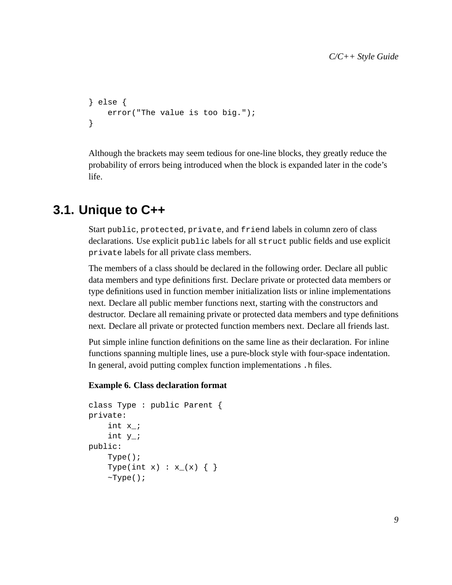```
} else {
   error("The value is too big.");
}
```
Although the brackets may seem tedious for one-line blocks, they greatly reduce the probability of errors being introduced when the block is expanded later in the code's life.

### **3.1. Unique to C++**

Start public, protected, private, and friend labels in column zero of class declarations. Use explicit public labels for all struct public fields and use explicit private labels for all private class members.

The members of a class should be declared in the following order. Declare all public data members and type definitions first. Declare private or protected data members or type definitions used in function member initialization lists or inline implementations next. Declare all public member functions next, starting with the constructors and destructor. Declare all remaining private or protected data members and type definitions next. Declare all private or protected function members next. Declare all friends last.

Put simple inline function definitions on the same line as their declaration. For inline functions spanning multiple lines, use a pure-block style with four-space indentation. In general, avoid putting complex function implementations .h files.

### **Example 6. Class declaration format**

```
class Type : public Parent {
private:
    int x_;
    int y_ipublic:
    Type();
    Type(int x) : x_{-}(x) { }
    ~\simType();
```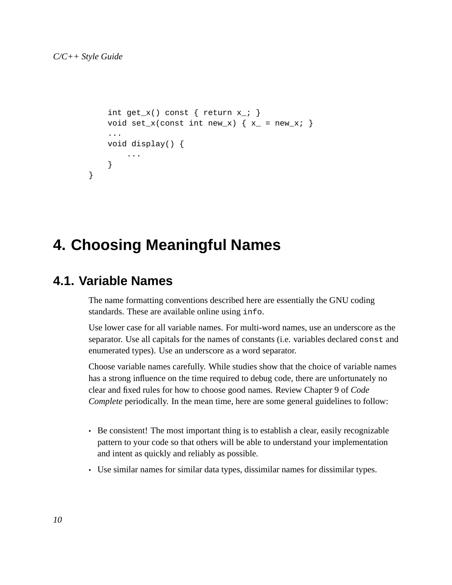}

```
int get x() const { return x : }
void set_x(const int new_x) { x_ = new_x; }
...
void display() {
    ...
}
```
# **4. Choosing Meaningful Names**

### **4.1. Variable Names**

The name formatting conventions described here are essentially the GNU coding standards. These are available online using info.

Use lower case for all variable names. For multi-word names, use an underscore as the separator. Use all capitals for the names of constants (i.e. variables declared const and enumerated types). Use an underscore as a word separator.

Choose variable names carefully. While studies show that the choice of variable names has a strong influence on the time required to debug code, there are unfortunately no clear and fixed rules for how to choose good names. Review Chapter 9 of *Code Complete* periodically. In the mean time, here are some general guidelines to follow:

- Be consistent! The most important thing is to establish a clear, easily recognizable pattern to your code so that others will be able to understand your implementation and intent as quickly and reliably as possible.
- Use similar names for similar data types, dissimilar names for dissimilar types.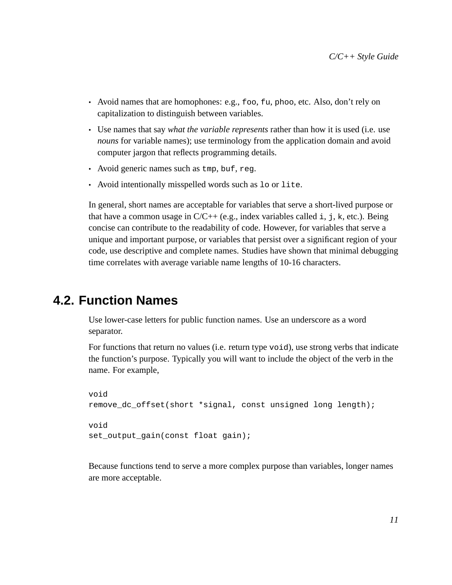- Avoid names that are homophones: e.g., foo, fu, phoo, etc. Also, don't rely on capitalization to distinguish between variables.
- Use names that say *what the variable represents* rather than how it is used (i.e. use *nouns* for variable names); use terminology from the application domain and avoid computer jargon that reflects programming details.
- Avoid generic names such as tmp, buf, reg.
- Avoid intentionally misspelled words such as lo or lite.

In general, short names are acceptable for variables that serve a short-lived purpose or that have a common usage in  $C/C++$  (e.g., index variables called i, j, k, etc.). Being concise can contribute to the readability of code. However, for variables that serve a unique and important purpose, or variables that persist over a significant region of your code, use descriptive and complete names. Studies have shown that minimal debugging time correlates with average variable name lengths of 10-16 characters.

### **4.2. Function Names**

Use lower-case letters for public function names. Use an underscore as a word separator.

For functions that return no values (i.e. return type void), use strong verbs that indicate the function's purpose. Typically you will want to include the object of the verb in the name. For example,

```
void
remove_dc_offset(short *signal, const unsigned long length);
void
set_output_gain(const float gain);
```
Because functions tend to serve a more complex purpose than variables, longer names are more acceptable.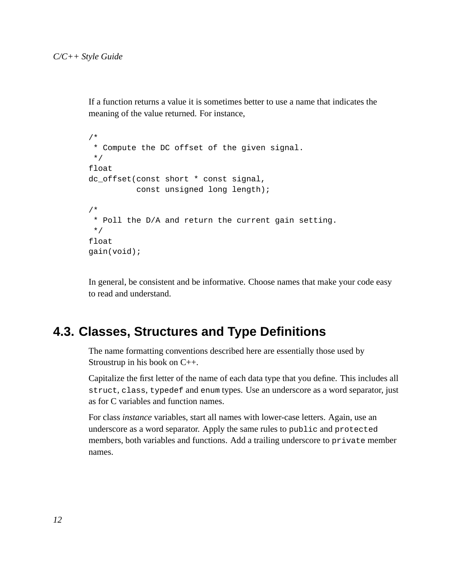If a function returns a value it is sometimes better to use a name that indicates the meaning of the value returned. For instance,

```
/*
 * Compute the DC offset of the given signal.
 */
float
dc_offset(const short * const signal,
          const unsigned long length);
/*
 * Poll the D/A and return the current gain setting.
 */
float
gain(void);
```
In general, be consistent and be informative. Choose names that make your code easy to read and understand.

### **4.3. Classes, Structures and Type Definitions**

The name formatting conventions described here are essentially those used by Stroustrup in his book on C++.

Capitalize the first letter of the name of each data type that you define. This includes all struct, class, typedef and enum types. Use an underscore as a word separator, just as for C variables and function names.

For class *instance* variables, start all names with lower-case letters. Again, use an underscore as a word separator. Apply the same rules to public and protected members, both variables and functions. Add a trailing underscore to private member names.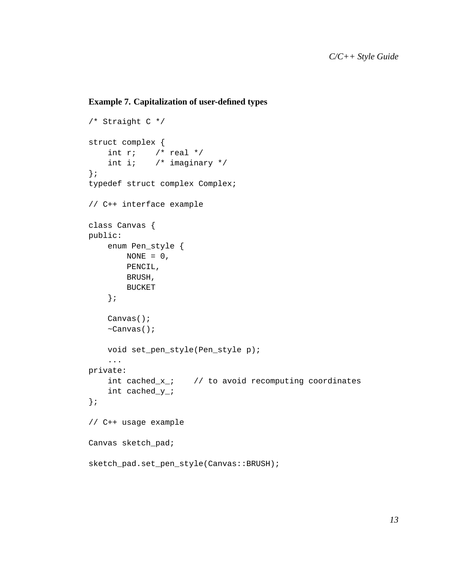#### **Example 7. Capitalization of user-defined types**

```
/* Straight C */
struct complex {
    int r; /* real */int i; /* imaginary */};
typedef struct complex Complex;
// C++ interface example
class Canvas {
public:
    enum Pen_style {
      NOTE = 0,PENCIL,
       BRUSH,
       BUCKET
    };
    Canvas();
    ~Canvas();
    void set_pen_style(Pen_style p);
    ...
private:
    int cached_x_i // to avoid recomputing coordinates
    int cached_y_;
};
// C++ usage example
Canvas sketch_pad;
sketch_pad.set_pen_style(Canvas::BRUSH);
```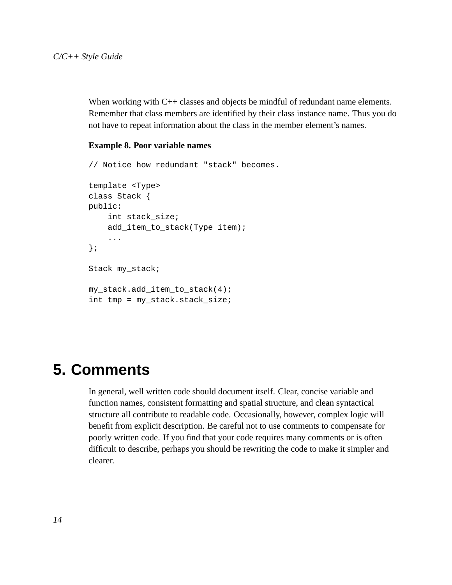When working with C++ classes and objects be mindful of redundant name elements. Remember that class members are identified by their class instance name. Thus you do not have to repeat information about the class in the member element's names.

#### **Example 8. Poor variable names**

```
// Notice how redundant "stack" becomes.
template <Type>
class Stack {
public:
    int stack_size;
    add_item_to_stack(Type item);
    ...
};
Stack my_stack;
my_stack.add_item_to_stack(4);
int tmp = my stack.stack size;
```
# **5. Comments**

In general, well written code should document itself. Clear, concise variable and function names, consistent formatting and spatial structure, and clean syntactical structure all contribute to readable code. Occasionally, however, complex logic will benefit from explicit description. Be careful not to use comments to compensate for poorly written code. If you find that your code requires many comments or is often difficult to describe, perhaps you should be rewriting the code to make it simpler and clearer.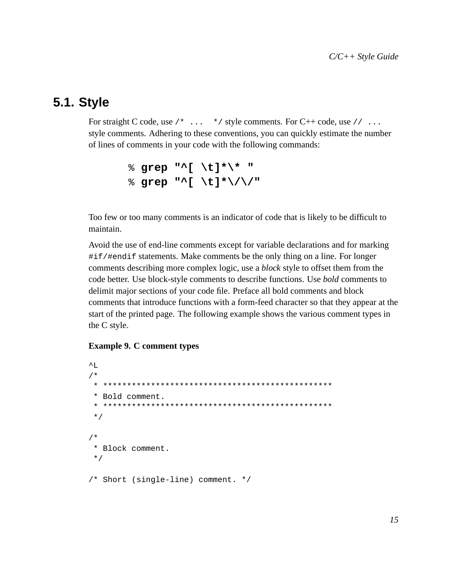### **5.1. Style**

For straight C code, use  $/* \dots$  \*/ style comments. For C++ code, use  $// \dots$ style comments. Adhering to these conventions, you can quickly estimate the number of lines of comments in your code with the following commands:

> % **grep "^[ \t]\*\\* "** % **grep "^[ \t]\*\/\/"**

Too few or too many comments is an indicator of code that is likely to be difficult to maintain.

Avoid the use of end-line comments except for variable declarations and for marking #if/#endif statements. Make comments be the only thing on a line. For longer comments describing more complex logic, use a *block* style to offset them from the code better. Use block-style comments to describe functions. Use *bold* comments to delimit major sections of your code file. Preface all bold comments and block comments that introduce functions with a form-feed character so that they appear at the start of the printed page. The following example shows the various comment types in the C style.

#### **Example 9. C comment types**

```
\simT.
/*
* ************************************************
 * Bold comment.
* ************************************************
*/
/*
* Block comment.
*/
/* Short (single-line) comment. */
```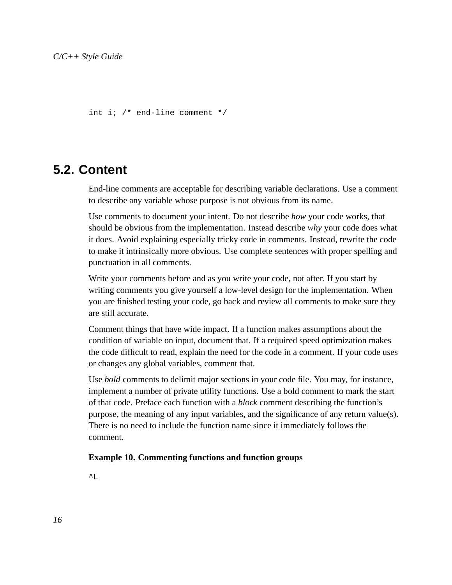int i; /\* end-line comment \*/

### **5.2. Content**

End-line comments are acceptable for describing variable declarations. Use a comment to describe any variable whose purpose is not obvious from its name.

Use comments to document your intent. Do not describe *how* your code works, that should be obvious from the implementation. Instead describe *why* your code does what it does. Avoid explaining especially tricky code in comments. Instead, rewrite the code to make it intrinsically more obvious. Use complete sentences with proper spelling and punctuation in all comments.

Write your comments before and as you write your code, not after. If you start by writing comments you give yourself a low-level design for the implementation. When you are finished testing your code, go back and review all comments to make sure they are still accurate.

Comment things that have wide impact. If a function makes assumptions about the condition of variable on input, document that. If a required speed optimization makes the code difficult to read, explain the need for the code in a comment. If your code uses or changes any global variables, comment that.

Use *bold* comments to delimit major sections in your code file. You may, for instance, implement a number of private utility functions. Use a bold comment to mark the start of that code. Preface each function with a *block* comment describing the function's purpose, the meaning of any input variables, and the significance of any return value(s). There is no need to include the function name since it immediately follows the comment.

#### **Example 10. Commenting functions and function groups**

 $\mathsf{L}$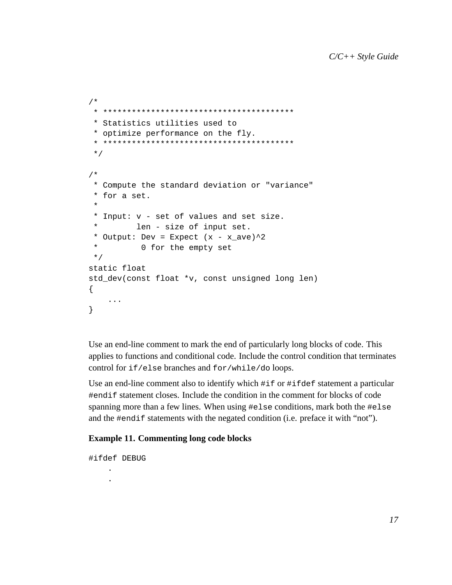```
/*
 * ****************************************
 * Statistics utilities used to
 * optimize performance on the fly.
 * ****************************************
 */
/*
 * Compute the standard deviation or "variance"
 * for a set.
 *
 * Input: v - set of values and set size.
         len - size of input set.
 * Output: Dev = Expect (x - x \text{ ave})^2* 0 for the empty set
 */
static float
std_dev(const float *v, const unsigned long len)
{
    ...
}
```
Use an end-line comment to mark the end of particularly long blocks of code. This applies to functions and conditional code. Include the control condition that terminates control for if/else branches and for/while/do loops.

Use an end-line comment also to identify which  $\#$ if or  $\#$ ifdef statement a particular #endif statement closes. Include the condition in the comment for blocks of code spanning more than a few lines. When using #else conditions, mark both the #else and the #endif statements with the negated condition (i.e. preface it with "not").

### **Example 11. Commenting long code blocks**

#ifdef DEBUG

. .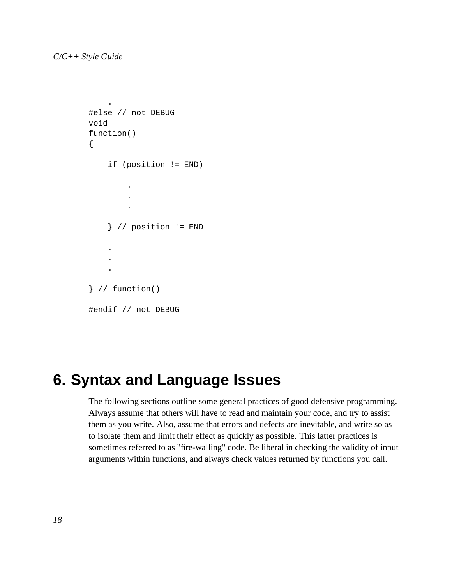```
.
#else // not DEBUG
void
function()
{
    if (position != END)
        .
        .
        .
    } // position != END
    .
    .
    .
} // function()
#endif // not DEBUG
```
# **6. Syntax and Language Issues**

The following sections outline some general practices of good defensive programming. Always assume that others will have to read and maintain your code, and try to assist them as you write. Also, assume that errors and defects are inevitable, and write so as to isolate them and limit their effect as quickly as possible. This latter practices is sometimes referred to as "fire-walling" code. Be liberal in checking the validity of input arguments within functions, and always check values returned by functions you call.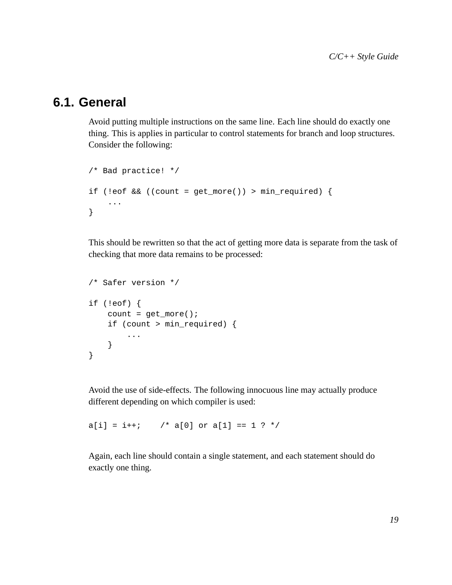### **6.1. General**

Avoid putting multiple instructions on the same line. Each line should do exactly one thing. This is applies in particular to control statements for branch and loop structures. Consider the following:

```
/* Bad practice! */
if (!eof && ((count = get_more()) > min_required) {
    ...
}
```
This should be rewritten so that the act of getting more data is separate from the task of checking that more data remains to be processed:

```
/* Safer version */
if (!eof) {
    count = get_more();
    if (count > min_required) {
        ...
    }
}
```
Avoid the use of side-effects. The following innocuous line may actually produce different depending on which compiler is used:

 $a[i] = i++;$  /\*  $a[0]$  or  $a[1] == 1 ?$  \*/

Again, each line should contain a single statement, and each statement should do exactly one thing.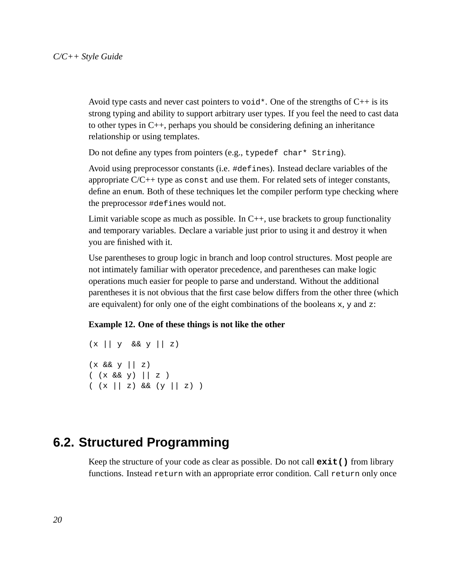Avoid type casts and never cast pointers to void\*. One of the strengths of  $C_{++}$  is its strong typing and ability to support arbitrary user types. If you feel the need to cast data to other types in C++, perhaps you should be considering defining an inheritance relationship or using templates.

Do not define any types from pointers (e.g., typedef char\* String).

Avoid using preprocessor constants (i.e. #defines). Instead declare variables of the appropriate  $C/C++$  type as const and use them. For related sets of integer constants, define an enum. Both of these techniques let the compiler perform type checking where the preprocessor #defines would not.

Limit variable scope as much as possible. In  $C_{++}$ , use brackets to group functionality and temporary variables. Declare a variable just prior to using it and destroy it when you are finished with it.

Use parentheses to group logic in branch and loop control structures. Most people are not intimately familiar with operator precedence, and parentheses can make logic operations much easier for people to parse and understand. Without the additional parentheses it is not obvious that the first case below differs from the other three (which are equivalent) for only one of the eight combinations of the booleans  $x$ ,  $y$  and  $z$ :

### **Example 12. One of these things is not like the other**

```
(x || y \&x y || z)(x \&x y || z)((x & 6x & y) || z)( (x || z) & x & (y || z))
```
### **6.2. Structured Programming**

Keep the structure of your code as clear as possible. Do not call **exit()** from library functions. Instead return with an appropriate error condition. Call return only once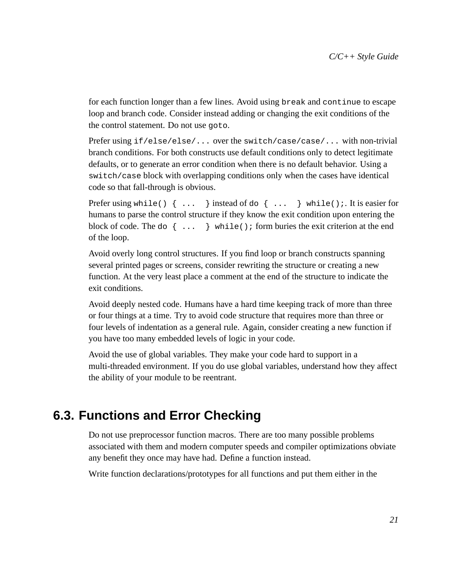for each function longer than a few lines. Avoid using break and continue to escape loop and branch code. Consider instead adding or changing the exit conditions of the the control statement. Do not use goto.

Prefer using if/else/else/... over the switch/case/case/... with non-trivial branch conditions. For both constructs use default conditions only to detect legitimate defaults, or to generate an error condition when there is no default behavior. Using a switch/case block with overlapping conditions only when the cases have identical code so that fall-through is obvious.

Prefer using while()  $\{ \ldots \}$  instead of do  $\{ \ldots \}$  while();. It is easier for humans to parse the control structure if they know the exit condition upon entering the block of code. The do  $\{ \ldots \}$  while(); form buries the exit criterion at the end of the loop.

Avoid overly long control structures. If you find loop or branch constructs spanning several printed pages or screens, consider rewriting the structure or creating a new function. At the very least place a comment at the end of the structure to indicate the exit conditions.

Avoid deeply nested code. Humans have a hard time keeping track of more than three or four things at a time. Try to avoid code structure that requires more than three or four levels of indentation as a general rule. Again, consider creating a new function if you have too many embedded levels of logic in your code.

Avoid the use of global variables. They make your code hard to support in a multi-threaded environment. If you do use global variables, understand how they affect the ability of your module to be reentrant.

### **6.3. Functions and Error Checking**

Do not use preprocessor function macros. There are too many possible problems associated with them and modern computer speeds and compiler optimizations obviate any benefit they once may have had. Define a function instead.

Write function declarations/prototypes for all functions and put them either in the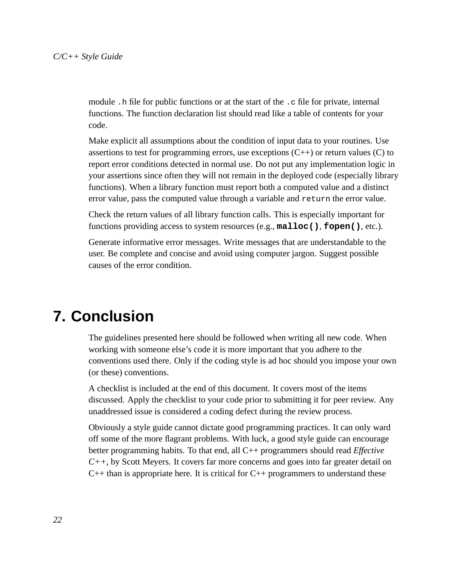module .h file for public functions or at the start of the .c file for private, internal functions. The function declaration list should read like a table of contents for your code.

Make explicit all assumptions about the condition of input data to your routines. Use assertions to test for programming errors, use exceptions  $(C++)$  or return values  $(C)$  to report error conditions detected in normal use. Do not put any implementation logic in your assertions since often they will not remain in the deployed code (especially library functions). When a library function must report both a computed value and a distinct error value, pass the computed value through a variable and return the error value.

Check the return values of all library function calls. This is especially important for functions providing access to system resources (e.g., **malloc()**, **fopen()**, etc.).

Generate informative error messages. Write messages that are understandable to the user. Be complete and concise and avoid using computer jargon. Suggest possible causes of the error condition.

# **7. Conclusion**

The guidelines presented here should be followed when writing all new code. When working with someone else's code it is more important that you adhere to the conventions used there. Only if the coding style is ad hoc should you impose your own (or these) conventions.

A checklist is included at the end of this document. It covers most of the items discussed. Apply the checklist to your code prior to submitting it for peer review. Any unaddressed issue is considered a coding defect during the review process.

Obviously a style guide cannot dictate good programming practices. It can only ward off some of the more flagrant problems. With luck, a good style guide can encourage better programming habits. To that end, all C++ programmers should read *Effective C++*, by Scott Meyers. It covers far more concerns and goes into far greater detail on  $C_{++}$  than is appropriate here. It is critical for  $C_{++}$  programmers to understand these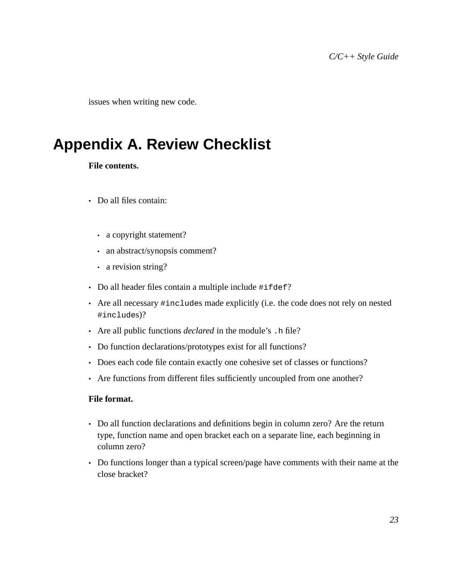issues when writing new code.

# **Appendix A. Review Checklist**

#### **File contents.**

- Do all files contain:
	- a copyright statement?
	- an abstract/synopsis comment?
	- a revision string?
- Do all header files contain a multiple include #ifdef?
- Are all necessary #includes made explicitly (i.e. the code does not rely on nested #includes)?
- Are all public functions *declared* in the module's .h file?
- Do function declarations/prototypes exist for all functions?
- Does each code file contain exactly one cohesive set of classes or functions?
- Are functions from different files sufficiently uncoupled from one another?

### **File format.**

- Do all function declarations and definitions begin in column zero? Are the return type, function name and open bracket each on a separate line, each beginning in column zero?
- Do functions longer than a typical screen/page have comments with their name at the close bracket?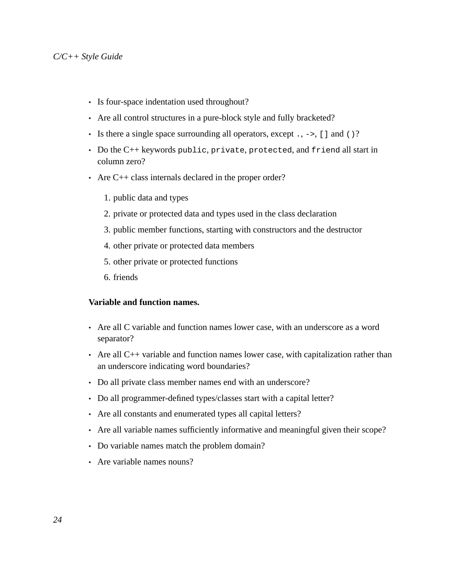- Is four-space indentation used throughout?
- Are all control structures in a pure-block style and fully bracketed?
- Is there a single space surrounding all operators, except .,  $\rightarrow$ , [] and ()?
- Do the C++ keywords public, private, protected, and friend all start in column zero?
- Are C++ class internals declared in the proper order?
	- 1. public data and types
	- 2. private or protected data and types used in the class declaration
	- 3. public member functions, starting with constructors and the destructor
	- 4. other private or protected data members
	- 5. other private or protected functions
	- 6. friends

#### **Variable and function names.**

- Are all C variable and function names lower case, with an underscore as a word separator?
- Are all C++ variable and function names lower case, with capitalization rather than an underscore indicating word boundaries?
- Do all private class member names end with an underscore?
- Do all programmer-defined types/classes start with a capital letter?
- Are all constants and enumerated types all capital letters?
- Are all variable names sufficiently informative and meaningful given their scope?
- Do variable names match the problem domain?
- Are variable names nouns?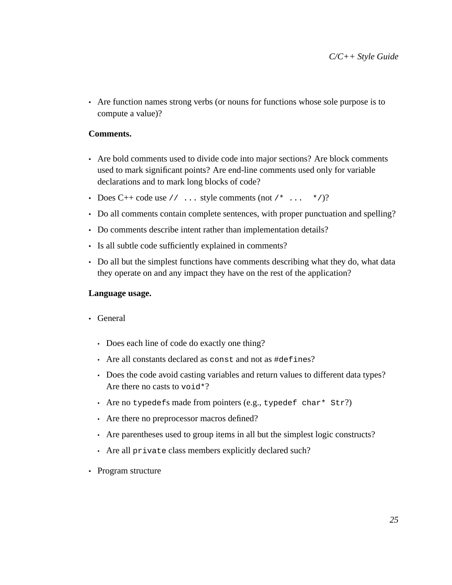• Are function names strong verbs (or nouns for functions whose sole purpose is to compute a value)?

### **Comments.**

- Are bold comments used to divide code into major sections? Are block comments used to mark significant points? Are end-line comments used only for variable declarations and to mark long blocks of code?
- Does C++ code use  $// \dots$  style comments (not  $/* \dots */$ )?
- Do all comments contain complete sentences, with proper punctuation and spelling?
- Do comments describe intent rather than implementation details?
- Is all subtle code sufficiently explained in comments?
- Do all but the simplest functions have comments describing what they do, what data they operate on and any impact they have on the rest of the application?

### **Language usage.**

- General
	- Does each line of code do exactly one thing?
	- Are all constants declared as const and not as #defines?
	- Does the code avoid casting variables and return values to different data types? Are there no casts to void<sup>\*?</sup>
	- Are no typedefs made from pointers (e.g., typedef char\* Str?)
	- Are there no preprocessor macros defined?
	- Are parentheses used to group items in all but the simplest logic constructs?
	- Are all private class members explicitly declared such?
- Program structure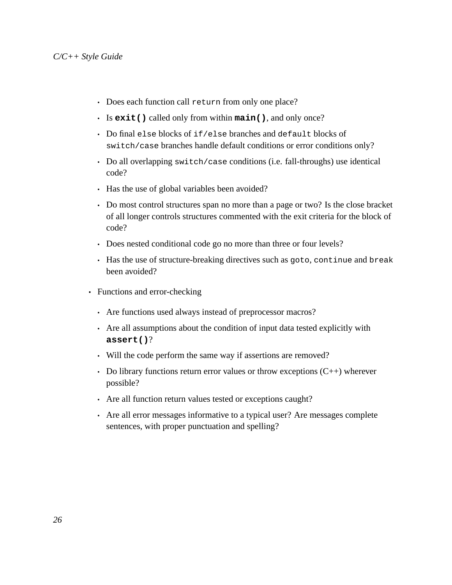- Does each function call return from only one place?
- Is **exit()** called only from within **main()**, and only once?
- Do final else blocks of if/else branches and default blocks of switch/case branches handle default conditions or error conditions only?
- Do all overlapping switch/case conditions (i.e. fall-throughs) use identical code?
- Has the use of global variables been avoided?
- Do most control structures span no more than a page or two? Is the close bracket of all longer controls structures commented with the exit criteria for the block of code?
- Does nested conditional code go no more than three or four levels?
- Has the use of structure-breaking directives such as goto, continue and break been avoided?
- Functions and error-checking
	- Are functions used always instead of preprocessor macros?
	- Are all assumptions about the condition of input data tested explicitly with **assert()**?
	- Will the code perform the same way if assertions are removed?
	- Do library functions return error values or throw exceptions  $(C++)$  wherever possible?
	- Are all function return values tested or exceptions caught?
	- Are all error messages informative to a typical user? Are messages complete sentences, with proper punctuation and spelling?